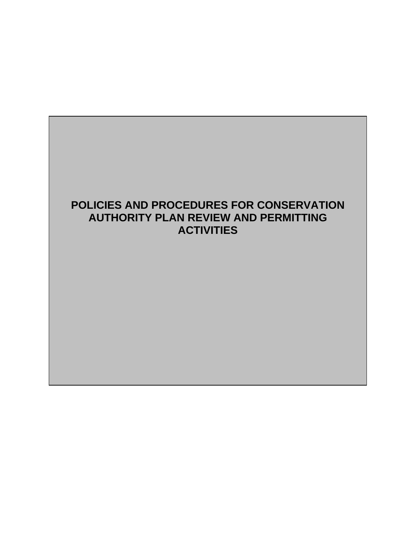# **POLICIES AND PROCEDURES FOR CONSERVATION AUTHORITY PLAN REVIEW AND PERMITTING ACTIVITIES**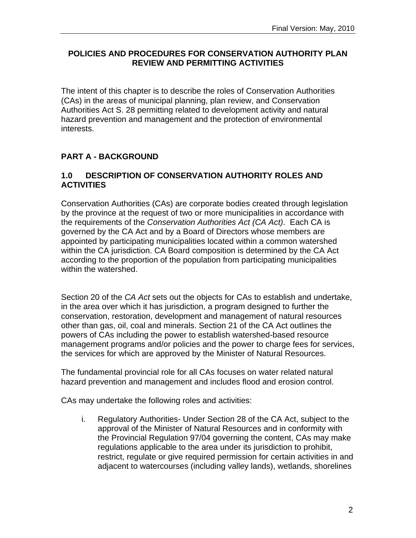## **POLICIES AND PROCEDURES FOR CONSERVATION AUTHORITY PLAN REVIEW AND PERMITTING ACTIVITIES**

The intent of this chapter is to describe the roles of Conservation Authorities (CAs) in the areas of municipal planning, plan review, and Conservation Authorities Act S. 28 permitting related to development activity and natural hazard prevention and management and the protection of environmental interests.

# **PART A - BACKGROUND**

## **1.0 DESCRIPTION OF CONSERVATION AUTHORITY ROLES AND ACTIVITIES**

Conservation Authorities (CAs) are corporate bodies created through legislation by the province at the request of two or more municipalities in accordance with the requirements of the *Conservation Authorities Act (CA Act)*. Each CA is governed by the CA Act and by a Board of Directors whose members are appointed by participating municipalities located within a common watershed within the CA jurisdiction. CA Board composition is determined by the CA Act according to the proportion of the population from participating municipalities within the watershed.

Section 20 of the *CA Act* sets out the objects for CAs to establish and undertake, in the area over which it has jurisdiction, a program designed to further the conservation, restoration, development and management of natural resources other than gas, oil, coal and minerals. Section 21 of the CA Act outlines the powers of CAs including the power to establish watershed-based resource management programs and/or policies and the power to charge fees for services, the services for which are approved by the Minister of Natural Resources.

The fundamental provincial role for all CAs focuses on water related natural hazard prevention and management and includes flood and erosion control.

CAs may undertake the following roles and activities:

i. Regulatory Authorities- Under Section 28 of the CA Act, subject to the approval of the Minister of Natural Resources and in conformity with the Provincial Regulation 97/04 governing the content, CAs may make regulations applicable to the area under its jurisdiction to prohibit, restrict, regulate or give required permission for certain activities in and adjacent to watercourses (including valley lands), wetlands, shorelines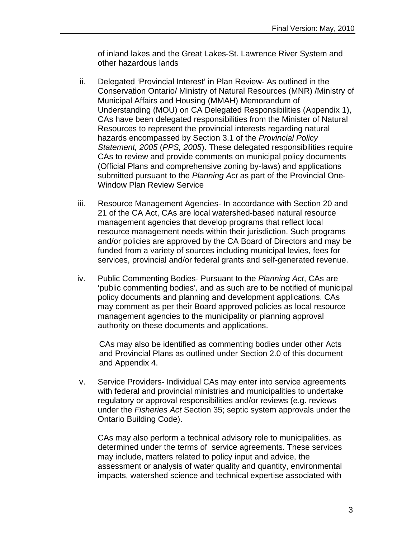of inland lakes and the Great Lakes-St. Lawrence River System and other hazardous lands

- ii. Delegated 'Provincial Interest' in Plan Review- As outlined in the Conservation Ontario/ Ministry of Natural Resources (MNR) /Ministry of Municipal Affairs and Housing (MMAH) Memorandum of Understanding (MOU) on CA Delegated Responsibilities (Appendix 1), CAs have been delegated responsibilities from the Minister of Natural Resources to represent the provincial interests regarding natural hazards encompassed by Section 3.1 of the *Provincial Policy Statement, 2005* (*PPS, 2005*). These delegated responsibilities require CAs to review and provide comments on municipal policy documents (Official Plans and comprehensive zoning by-laws) and applications submitted pursuant to the *Planning Act* as part of the Provincial One-Window Plan Review Service
- iii. Resource Management Agencies- In accordance with Section 20 and 21 of the CA Act, CAs are local watershed-based natural resource management agencies that develop programs that reflect local resource management needs within their jurisdiction. Such programs and/or policies are approved by the CA Board of Directors and may be funded from a variety of sources including municipal levies, fees for services, provincial and/or federal grants and self-generated revenue.
- iv. Public Commenting Bodies- Pursuant to the *Planning Act*, CAs are 'public commenting bodies'*,* and as such are to be notified of municipal policy documents and planning and development applications. CAs may comment as per their Board approved policies as local resource management agencies to the municipality or planning approval authority on these documents and applications.

 CAs may also be identified as commenting bodies under other Acts and Provincial Plans as outlined under Section 2.0 of this document and Appendix 4.

v. Service Providers- Individual CAs may enter into service agreements with federal and provincial ministries and municipalities to undertake regulatory or approval responsibilities and/or reviews (e.g. reviews under the *Fisheries Act* Section 35; septic system approvals under the Ontario Building Code).

CAs may also perform a technical advisory role to municipalities. as determined under the terms of service agreements. These services may include, matters related to policy input and advice, the assessment or analysis of water quality and quantity, environmental impacts, watershed science and technical expertise associated with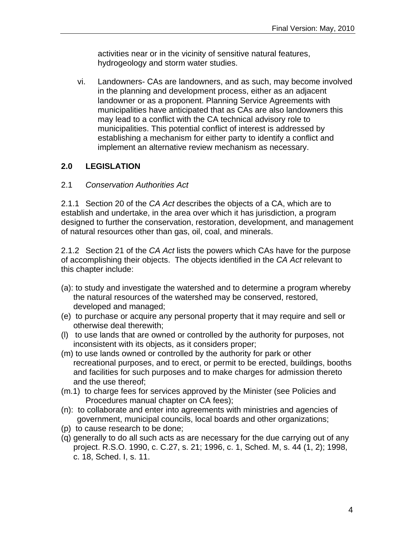activities near or in the vicinity of sensitive natural features, hydrogeology and storm water studies.

vi. Landowners- CAs are landowners, and as such, may become involved in the planning and development process, either as an adjacent landowner or as a proponent. Planning Service Agreements with municipalities have anticipated that as CAs are also landowners this may lead to a conflict with the CA technical advisory role to municipalities. This potential conflict of interest is addressed by establishing a mechanism for either party to identify a conflict and implement an alternative review mechanism as necessary.

# **2.0 LEGISLATION**

## 2.1 *Conservation Authorities Act*

2.1.1 Section 20 of the *CA Act* describes the objects of a CA, which are to establish and undertake, in the area over which it has jurisdiction, a program designed to further the conservation, restoration, development, and management of natural resources other than gas, oil, coal, and minerals.

2.1.2 Section 21 of the *CA Act* lists the powers which CAs have for the purpose of accomplishing their objects. The objects identified in the *CA Act* relevant to this chapter include:

- (a): to study and investigate the watershed and to determine a program whereby the natural resources of the watershed may be conserved, restored, developed and managed;
- (e) to purchase or acquire any personal property that it may require and sell or otherwise deal therewith;
- (l) to use lands that are owned or controlled by the authority for purposes, not inconsistent with its objects, as it considers proper;
- (m) to use lands owned or controlled by the authority for park or other recreational purposes, and to erect, or permit to be erected, buildings, booths and facilities for such purposes and to make charges for admission thereto and the use thereof;
- (m.1) to charge fees for services approved by the Minister (see Policies and Procedures manual chapter on CA fees);
- (n): to collaborate and enter into agreements with ministries and agencies of government, municipal councils, local boards and other organizations;
- (p) to cause research to be done;
- (q) generally to do all such acts as are necessary for the due carrying out of any project. R.S.O. 1990, c. C.27, s. 21; 1996, c. 1, Sched. M, s. 44 (1, 2); 1998, c. 18, Sched. I, s. 11.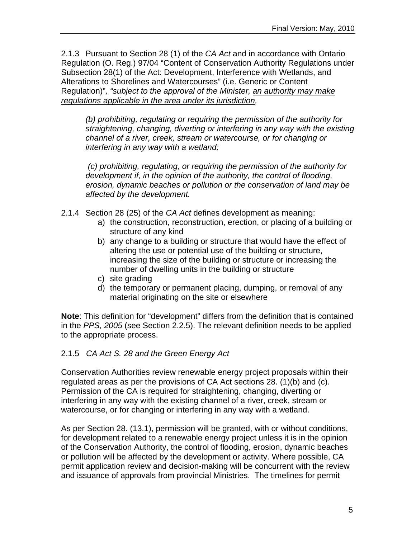2.1.3 Pursuant to Section 28 (1) of the *CA Act* and in accordance with Ontario Regulation (O. Reg.) 97/04 "Content of Conservation Authority Regulations under Subsection 28(1) of the Act: Development, Interference with Wetlands, and Alterations to Shorelines and Watercourses" (i.e. Generic or Content Regulation)"*, "subject to the approval of the Minister, an authority may make regulations applicable in the area under its jurisdiction,* 

*(b) prohibiting, regulating or requiring the permission of the authority for straightening, changing, diverting or interfering in any way with the existing channel of a river, creek, stream or watercourse, or for changing or interfering in any way with a wetland;* 

 *(c) prohibiting, regulating, or requiring the permission of the authority for development if, in the opinion of the authority, the control of flooding, erosion, dynamic beaches or pollution or the conservation of land may be affected by the development.* 

- 2.1.4 Section 28 (25) of the *CA Act* defines development as meaning:
	- a) the construction, reconstruction, erection, or placing of a building or structure of any kind
	- b) any change to a building or structure that would have the effect of altering the use or potential use of the building or structure, increasing the size of the building or structure or increasing the number of dwelling units in the building or structure
	- c) site grading
	- d) the temporary or permanent placing, dumping, or removal of any material originating on the site or elsewhere

**Note**: This definition for "development" differs from the definition that is contained in the *PPS, 2005* (see Section 2.2.5). The relevant definition needs to be applied to the appropriate process.

## 2.1.5 *CA Act S. 28 and the Green Energy Act*

Conservation Authorities review renewable energy project proposals within their regulated areas as per the provisions of CA Act sections 28. (1)(b) and (c). Permission of the CA is required for straightening, changing, diverting or interfering in any way with the existing channel of a river, creek, stream or watercourse, or for changing or interfering in any way with a wetland.

As per Section 28. (13.1), permission will be granted, with or without conditions, for development related to a renewable energy project unless it is in the opinion of the Conservation Authority, the control of flooding, erosion, dynamic beaches or pollution will be affected by the development or activity. Where possible, CA permit application review and decision-making will be concurrent with the review and issuance of approvals from provincial Ministries. The timelines for permit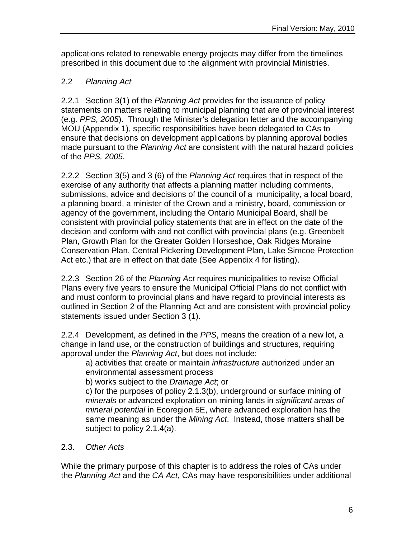applications related to renewable energy projects may differ from the timelines prescribed in this document due to the alignment with provincial Ministries.

## 2.2 *Planning Act*

2.2.1 Section 3(1) of the *Planning Act* provides for the issuance of policy statements on matters relating to municipal planning that are of provincial interest (e.g. *PPS, 2005*). Through the Minister's delegation letter and the accompanying MOU (Appendix 1), specific responsibilities have been delegated to CAs to ensure that decisions on development applications by planning approval bodies made pursuant to the *Planning Act* are consistent with the natural hazard policies of the *PPS, 2005.*

2.2.2 Section 3(5) and 3 (6) of the *Planning Act* requires that in respect of the exercise of any authority that affects a planning matter including comments, submissions, advice and decisions of the council of a municipality, a local board, a planning board, a minister of the Crown and a ministry, board, commission or agency of the government, including the Ontario Municipal Board, shall be consistent with provincial policy statements that are in effect on the date of the decision and conform with and not conflict with provincial plans (e.g. Greenbelt Plan, Growth Plan for the Greater Golden Horseshoe, Oak Ridges Moraine Conservation Plan, Central Pickering Development Plan, Lake Simcoe Protection Act etc.) that are in effect on that date (See Appendix 4 for listing).

2.2.3 Section 26 of the *Planning Act* requires municipalities to revise Official Plans every five years to ensure the Municipal Official Plans do not conflict with and must conform to provincial plans and have regard to provincial interests as outlined in Section 2 of the Planning Act and are consistent with provincial policy statements issued under Section 3 (1).

2.2.4 Development, as defined in the *PPS*, means the creation of a new lot, a change in land use, or the construction of buildings and structures, requiring approval under the *Planning Act*, but does not include:

a) activities that create or maintain *infrastructure* authorized under an environmental assessment process

b) works subject to the *Drainage Act*; or

c) for the purposes of policy 2.1.3(b), underground or surface mining of *minerals* or advanced exploration on mining lands in *significant areas of mineral potential* in Ecoregion 5E, where advanced exploration has the same meaning as under the *Mining Act*. Instead, those matters shall be subject to policy 2.1.4(a).

2.3. *Other Acts*

While the primary purpose of this chapter is to address the roles of CAs under the *Planning Act* and the *CA Act*, CAs may have responsibilities under additional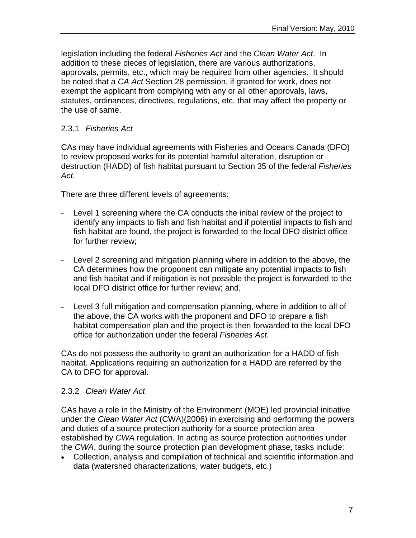legislation including the federal *Fisheries Act* and the *Clean Water Act*. In addition to these pieces of legislation, there are various authorizations, approvals, permits, etc., which may be required from other agencies. It should be noted that a *CA Act* Section 28 permission, if granted for work, does not exempt the applicant from complying with any or all other approvals, laws, statutes, ordinances, directives, regulations, etc. that may affect the property or the use of same.

## 2.3.1 *Fisheries Act*

CAs may have individual agreements with Fisheries and Oceans Canada (DFO) to review proposed works for its potential harmful alteration, disruption or destruction (HADD) of fish habitat pursuant to Section 35 of the federal *Fisheries Act.*

There are three different levels of agreements:

- Level 1 screening where the CA conducts the initial review of the project to identify any impacts to fish and fish habitat and if potential impacts to fish and fish habitat are found, the project is forwarded to the local DFO district office for further review;
- Level 2 screening and mitigation planning where in addition to the above, the CA determines how the proponent can mitigate any potential impacts to fish and fish habitat and if mitigation is not possible the project is forwarded to the local DFO district office for further review; and,
- Level 3 full mitigation and compensation planning, where in addition to all of the above, the CA works with the proponent and DFO to prepare a fish habitat compensation plan and the project is then forwarded to the local DFO office for authorization under the federal *[Fisheries Act](http://laws.justice.gc.ca/en/showtdm/cs/F-14)*.

CAs do not possess the authority to grant an authorization for a HADD of fish habitat. Applications requiring an authorization for a HADD are referred by the CA to DFO for approval.

## 2.3.2 *Clean Water Act*

CAs have a role in the Ministry of the Environment (MOE) led provincial initiative under the *Clean Water Act* (CWA)(2006) in exercising and performing the powers and duties of a source protection authority for a source protection area established by *CWA* regulation. In acting as source protection authorities under the *CWA*, during the source protection plan development phase, tasks include:

 Collection, analysis and compilation of technical and scientific information and data (watershed characterizations, water budgets, etc.)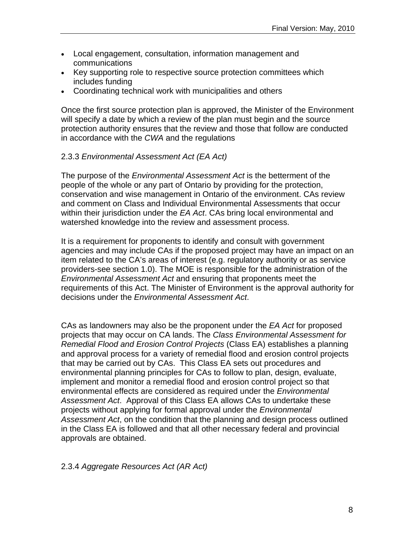- Local engagement, consultation, information management and communications
- Key supporting role to respective source protection committees which includes funding
- Coordinating technical work with municipalities and others

Once the first source protection plan is approved, the Minister of the Environment will specify a date by which a review of the plan must begin and the source protection authority ensures that the review and those that follow are conducted in accordance with the *CWA* and the regulations

#### 2.3.3 *Environmental Assessment Act (EA Act)*

The purpose of the *Environmental Assessment Act* is the betterment of the people of the whole or any part of Ontario by providing for the protection, conservation and wise management in Ontario of the environment. CAs review and comment on Class and Individual Environmental Assessments that occur within their jurisdiction under the *EA Act*. CAs bring local environmental and watershed knowledge into the review and assessment process.

It is a requirement for proponents to identify and consult with government agencies and may include CAs if the proposed project may have an impact on an item related to the CA's areas of interest (e.g. regulatory authority or as service providers-see section 1.0). The MOE is responsible for the administration of the *Environmental Assessment Act* and ensuring that proponents meet the requirements of this Act. The Minister of Environment is the approval authority for decisions under the *Environmental Assessment Act*.

CAs as landowners may also be the proponent under the *EA Act* for proposed projects that may occur on CA lands. The *Class Environmental Assessment for Remedial Flood and Erosion Control Projects* (Class EA) establishes a planning and approval process for a variety of remedial flood and erosion control projects that may be carried out by CAs. This Class EA sets out procedures and environmental planning principles for CAs to follow to plan, design, evaluate, implement and monitor a remedial flood and erosion control project so that environmental effects are considered as required under the *Environmental Assessment Act*. Approval of this Class EA allows CAs to undertake these projects without applying for formal approval under the *Environmental Assessment Act*, on the condition that the planning and design process outlined in the Class EA is followed and that all other necessary federal and provincial approvals are obtained.

2.3.4 *Aggregate Resources Act (AR Act)*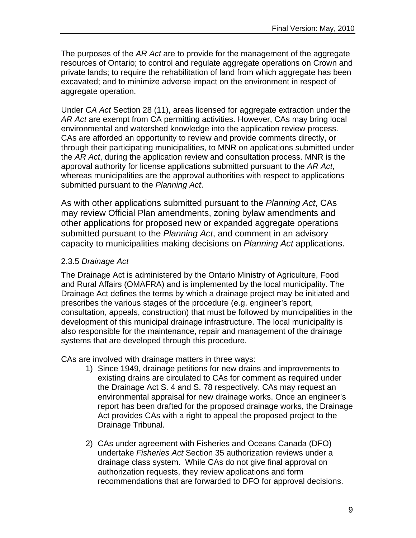The purposes of the *AR Act* are to provide for the management of the aggregate resources of Ontario; to control and regulate aggregate operations on Crown and private lands; to require the rehabilitation of land from which aggregate has been excavated; and to minimize adverse impact on the environment in respect of aggregate operation.

Under *CA Act* Section 28 (11), areas licensed for aggregate extraction under the *AR Act* are exempt from CA permitting activities. However, CAs may bring local environmental and watershed knowledge into the application review process. CAs are afforded an opportunity to review and provide comments directly, or through their participating municipalities, to MNR on applications submitted under the *AR Act*, during the application review and consultation process. MNR is the approval authority for license applications submitted pursuant to the *AR Act*, whereas municipalities are the approval authorities with respect to applications submitted pursuant to the *Planning Act*.

As with other applications submitted pursuant to the *Planning Act*, CAs may review Official Plan amendments, zoning bylaw amendments and other applications for proposed new or expanded aggregate operations submitted pursuant to the *Planning Act*, and comment in an advisory capacity to municipalities making decisions on *Planning Act* applications.

## 2.3.5 *Drainage Act*

The Drainage Act is administered by the Ontario Ministry of Agriculture, Food and Rural Affairs (OMAFRA) and is implemented by the local municipality. The Drainage Act defines the terms by which a drainage project may be initiated and prescribes the various stages of the procedure (e.g. engineer's report, consultation, appeals, construction) that must be followed by municipalities in the development of this municipal drainage infrastructure. The local municipality is also responsible for the maintenance, repair and management of the drainage systems that are developed through this procedure.

CAs are involved with drainage matters in three ways:

- 1) Since 1949, drainage petitions for new drains and improvements to existing drains are circulated to CAs for comment as required under the Drainage Act S. 4 and S. 78 respectively. CAs may request an environmental appraisal for new drainage works. Once an engineer's report has been drafted for the proposed drainage works, the Drainage Act provides CAs with a right to appeal the proposed project to the Drainage Tribunal.
- 2) CAs under agreement with Fisheries and Oceans Canada (DFO) undertake *Fisheries Act* Section 35 authorization reviews under a drainage class system. While CAs do not give final approval on authorization requests, they review applications and form recommendations that are forwarded to DFO for approval decisions.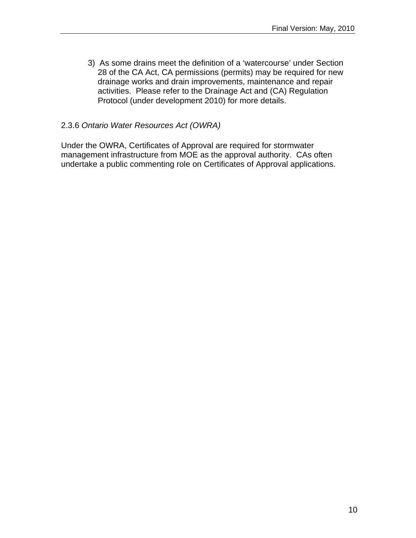3) As some drains meet the definition of a 'watercourse' under Section 28 of the CA Act, CA permissions (permits) may be required for new drainage works and drain improvements, maintenance and repair activities. Please refer to the Drainage Act and (CA) Regulation Protocol (under development 2010) for more details.

#### 2.3.6 *Ontario Water Resources Act (OWRA)*

Under the OWRA, Certificates of Approval are required for stormwater management infrastructure from MOE as the approval authority. CAs often undertake a public commenting role on Certificates of Approval applications.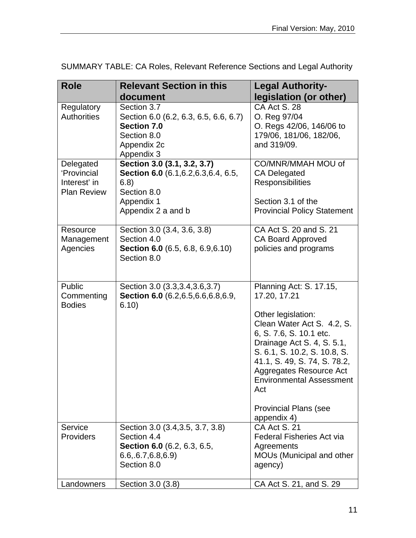| <b>Role</b>                                                    | <b>Relevant Section in this</b>                                                                                                 | <b>Legal Authority-</b>                                                                                                                                                                                                                                                                                                                  |
|----------------------------------------------------------------|---------------------------------------------------------------------------------------------------------------------------------|------------------------------------------------------------------------------------------------------------------------------------------------------------------------------------------------------------------------------------------------------------------------------------------------------------------------------------------|
|                                                                | document                                                                                                                        | legislation (or other)                                                                                                                                                                                                                                                                                                                   |
| Regulatory<br><b>Authorities</b>                               | Section 3.7<br>Section 6.0 (6.2, 6.3, 6.5, 6.6, 6.7)<br><b>Section 7.0</b><br>Section 8.0<br>Appendix 2c<br>Appendix 3          | CA Act S. 28<br>O. Reg 97/04<br>O. Regs 42/06, 146/06 to<br>179/06, 181/06, 182/06,<br>and 319/09.                                                                                                                                                                                                                                       |
| Delegated<br>'Provincial<br>Interest' in<br><b>Plan Review</b> | Section 3.0 (3.1, 3.2, 3.7)<br>Section 6.0 (6.1, 6.2, 6.3, 6.4, 6.5,<br>6.8)<br>Section 8.0<br>Appendix 1<br>Appendix 2 a and b | CO/MNR/MMAH MOU of<br><b>CA Delegated</b><br><b>Responsibilities</b><br>Section 3.1 of the<br><b>Provincial Policy Statement</b>                                                                                                                                                                                                         |
| Resource<br>Management<br>Agencies                             | Section 3.0 (3.4, 3.6, 3.8)<br>Section 4.0<br><b>Section 6.0</b> (6.5, 6.8, 6.9, 6.10)<br>Section 8.0                           | CA Act S, 20 and S, 21<br><b>CA Board Approved</b><br>policies and programs                                                                                                                                                                                                                                                              |
| Public<br>Commenting<br><b>Bodies</b>                          | Section 3.0 (3.3, 3.4, 3.6, 3.7)<br>Section 6.0 (6.2, 6.5, 6.6, 6.8, 6.9,<br>6.10)                                              | Planning Act: S. 17.15,<br>17.20, 17.21<br>Other legislation:<br>Clean Water Act S. 4.2, S.<br>6, S. 7.6, S. 10.1 etc.<br>Drainage Act S. 4, S. 5.1,<br>S. 6.1, S. 10.2, S. 10.8, S.<br>41.1, S. 49, S. 74, S. 78.2,<br>Aggregates Resource Act<br><b>Environmental Assessment</b><br>Act<br><b>Provincial Plans (see</b><br>appendix 4) |
| Service<br>Providers                                           | Section 3.0 (3.4, 3.5, 3.7, 3.8)<br>Section 4.4<br>Section 6.0 (6.2, 6.3, 6.5,<br>6.6, 6.7, 6.8, 6.9<br>Section 8.0             | CA Act S. 21<br><b>Federal Fisheries Act via</b><br>Agreements<br>MOUs (Municipal and other<br>agency)                                                                                                                                                                                                                                   |
| Landowners                                                     | Section 3.0 (3.8)                                                                                                               | CA Act S. 21, and S. 29                                                                                                                                                                                                                                                                                                                  |

SUMMARY TABLE: CA Roles, Relevant Reference Sections and Legal Authority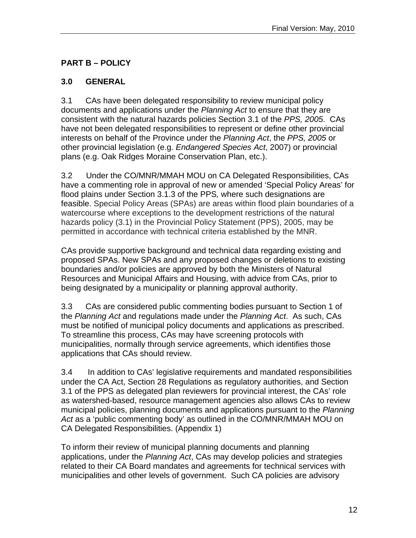# **PART B – POLICY**

## **3.0 GENERAL**

3.1CAs have been delegated responsibility to review municipal policy documents and applications under the *Planning Act* to ensure that they are consistent with the natural hazards policies Section 3.1 of the *PPS, 2005*. CAs have not been delegated responsibilities to represent or define other provincial interests on behalf of the Province under the *Planning Act*, the *PPS, 2005* or other provincial legislation (e.g. *Endangered Species Act*, 2007) or provincial plans (e.g. Oak Ridges Moraine Conservation Plan, etc.).

3.2 Under the CO/MNR/MMAH MOU on CA Delegated Responsibilities, CAs have a commenting role in approval of new or amended 'Special Policy Areas' for flood plains under Section 3.1.3 of the PPS*,* where such designations are feasible. Special Policy Areas (SPAs) are areas within flood plain boundaries of a watercourse where exceptions to the development restrictions of the natural hazards policy (3.1) in the Provincial Policy Statement (PPS), 2005, may be permitted in accordance with technical criteria established by the MNR.

CAs provide supportive background and technical data regarding existing and proposed SPAs. New SPAs and any proposed changes or deletions to existing boundaries and/or policies are approved by both the Ministers of Natural Resources and Municipal Affairs and Housing, with advice from CAs, prior to being designated by a municipality or planning approval authority.

3.3 CAs are considered public commenting bodies pursuant to Section 1 of the *Planning Act* and regulations made under the *Planning Act*. As such, CAs must be notified of municipal policy documents and applications as prescribed. To streamline this process, CAs may have screening protocols with municipalities, normally through service agreements, which identifies those applications that CAs should review.

3.4 In addition to CAs' legislative requirements and mandated responsibilities under the CA Act, Section 28 Regulations as regulatory authorities, and Section 3.1 of the PPS as delegated plan reviewers for provincial interest, the CAs' role as watershed-based, resource management agencies also allows CAs to review municipal policies, planning documents and applications pursuant to the *Planning Act* as a 'public commenting body' as outlined in the CO/MNR/MMAH MOU on CA Delegated Responsibilities. (Appendix 1)

To inform their review of municipal planning documents and planning applications, under the *Planning Act*, CAs may develop policies and strategies related to their CA Board mandates and agreements for technical services with municipalities and other levels of government. Such CA policies are advisory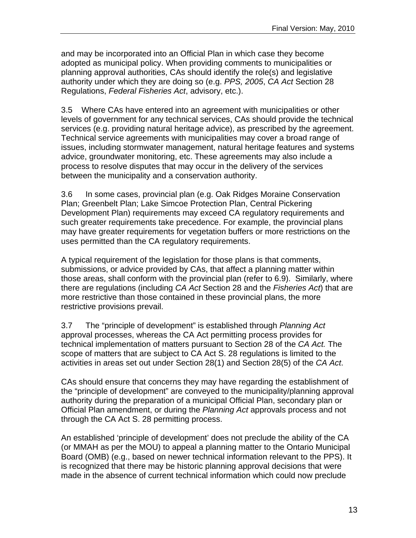and may be incorporated into an Official Plan in which case they become adopted as municipal policy. When providing comments to municipalities or planning approval authorities, CAs should identify the role(s) and legislative authority under which they are doing so (e.g. *PPS, 2005*, *CA Act* Section 28 Regulations, *Federal Fisheries Act*, advisory, etc.).

3.5 Where CAs have entered into an agreement with municipalities or other levels of government for any technical services, CAs should provide the technical services (e.g. providing natural heritage advice), as prescribed by the agreement. Technical service agreements with municipalities may cover a broad range of issues, including stormwater management, natural heritage features and systems advice, groundwater monitoring, etc. These agreements may also include a process to resolve disputes that may occur in the delivery of the services between the municipality and a conservation authority.

3.6 In some cases, provincial plan (e.g. Oak Ridges Moraine Conservation Plan; Greenbelt Plan; Lake Simcoe Protection Plan, Central Pickering Development Plan) requirements may exceed CA regulatory requirements and such greater requirements take precedence. For example, the provincial plans may have greater requirements for vegetation buffers or more restrictions on the uses permitted than the CA regulatory requirements.

A typical requirement of the legislation for those plans is that comments, submissions, or advice provided by CAs, that affect a planning matter within those areas, shall conform with the provincial plan (refer to 6.9). Similarly, where there are regulations (including *CA Act* Section 28 and the *Fisheries Act*) that are more restrictive than those contained in these provincial plans, the more restrictive provisions prevail.

3.7 The "principle of development" is established through *Planning Act*  approval processes, whereas the CA Act permitting process provides for technical implementation of matters pursuant to Section 28 of the *CA Act.* The scope of matters that are subject to CA Act S. 28 regulations is limited to the activities in areas set out under Section 28(1) and Section 28(5) of the *CA Act*.

CAs should ensure that concerns they may have regarding the establishment of the "principle of development" are conveyed to the municipality/planning approval authority during the preparation of a municipal Official Plan, secondary plan or Official Plan amendment, or during the *Planning Act* approvals process and not through the CA Act S. 28 permitting process.

An established 'principle of development' does not preclude the ability of the CA (or MMAH as per the MOU) to appeal a planning matter to the Ontario Municipal Board (OMB) (e.g., based on newer technical information relevant to the PPS). It is recognized that there may be historic planning approval decisions that were made in the absence of current technical information which could now preclude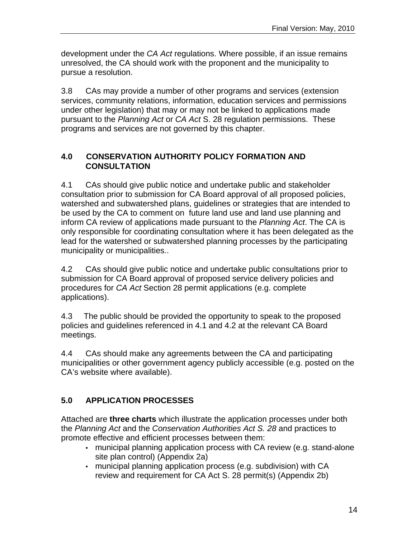development under the *CA Act* regulations. Where possible, if an issue remains unresolved, the CA should work with the proponent and the municipality to pursue a resolution.

3.8 CAs may provide a number of other programs and services (extension services, community relations, information, education services and permissions under other legislation) that may or may not be linked to applications made pursuant to the *Planning Act* or *CA Act* S. 28 regulation permissions. These programs and services are not governed by this chapter.

## **4.0 CONSERVATION AUTHORITY POLICY FORMATION AND CONSULTATION**

4.1 CAs should give public notice and undertake public and stakeholder consultation prior to submission for CA Board approval of all proposed policies, watershed and subwatershed plans, guidelines or strategies that are intended to be used by the CA to comment on future land use and land use planning and inform CA review of applications made pursuant to the *Planning Act*. The CA is only responsible for coordinating consultation where it has been delegated as the lead for the watershed or subwatershed planning processes by the participating municipality or municipalities..

4.2 CAs should give public notice and undertake public consultations prior to submission for CA Board approval of proposed service delivery policies and procedures for *CA Act* Section 28 permit applications (e.g. complete applications).

4.3 The public should be provided the opportunity to speak to the proposed policies and guidelines referenced in 4.1 and 4.2 at the relevant CA Board meetings.

4.4 CAs should make any agreements between the CA and participating municipalities or other government agency publicly accessible (e.g. posted on the CA's website where available).

# **5.0 APPLICATION PROCESSES**

Attached are **three charts** which illustrate the application processes under both the *Planning Act* and the *Conservation Authorities Act S. 28* and practices to promote effective and efficient processes between them:

- municipal planning application process with CA review (e.g. stand-alone site plan control) (Appendix 2a)
- municipal planning application process (e.g. subdivision) with CA review and requirement for CA Act S. 28 permit(s) (Appendix 2b)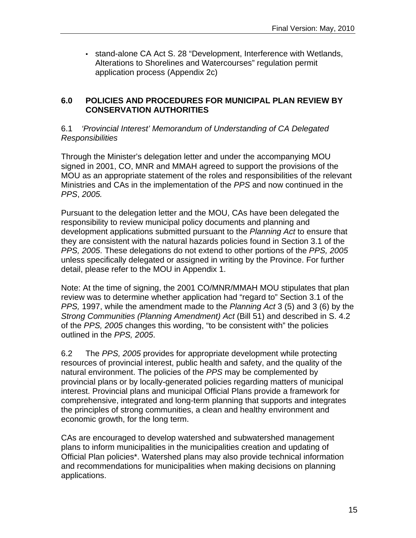▪ stand-alone CA Act S. 28 "Development, Interference with Wetlands, Alterations to Shorelines and Watercourses" regulation permit application process (Appendix 2c)

#### **6.0 POLICIES AND PROCEDURES FOR MUNICIPAL PLAN REVIEW BY CONSERVATION AUTHORITIES**

#### 6.1 *'Provincial Interest' Memorandum of Understanding of CA Delegated Responsibilities*

Through the Minister's delegation letter and under the accompanying MOU signed in 2001, CO, MNR and MMAH agreed to support the provisions of the MOU as an appropriate statement of the roles and responsibilities of the relevant Ministries and CAs in the implementation of the *PPS* and now continued in the *PPS*, *2005.* 

Pursuant to the delegation letter and the MOU, CAs have been delegated the responsibility to review municipal policy documents and planning and development applications submitted pursuant to the *Planning Act* to ensure that they are consistent with the natural hazards policies found in Section 3.1 of the *PPS, 2005*. These delegations do not extend to other portions of the *PPS, 2005* unless specifically delegated or assigned in writing by the Province. For further detail, please refer to the MOU in Appendix 1.

Note: At the time of signing, the 2001 CO/MNR/MMAH MOU stipulates that plan review was to determine whether application had "regard to" Section 3.1 of the *PPS,* 1997, while the amendment made to the *Planning Act* 3 (5) and 3 (6) by the *Strong Communities (Planning Amendment) Act* (Bill 51) and described in S. 4.2 of the *PPS, 2005* changes this wording, "to be consistent with" the policies outlined in the *PPS, 2005*.

6.2 The *PPS, 2005* provides for appropriate development while protecting resources of provincial interest, public health and safety, and the quality of the natural environment. The policies of the *PPS* may be complemented by provincial plans or by locally-generated policies regarding matters of municipal interest. Provincial plans and municipal Official Plans provide a framework for comprehensive, integrated and long-term planning that supports and integrates the principles of strong communities, a clean and healthy environment and economic growth, for the long term.

CAs are encouraged to develop watershed and subwatershed management plans to inform municipalities in the municipalities creation and updating of Official Plan policies\*. Watershed plans may also provide technical information and recommendations for municipalities when making decisions on planning applications.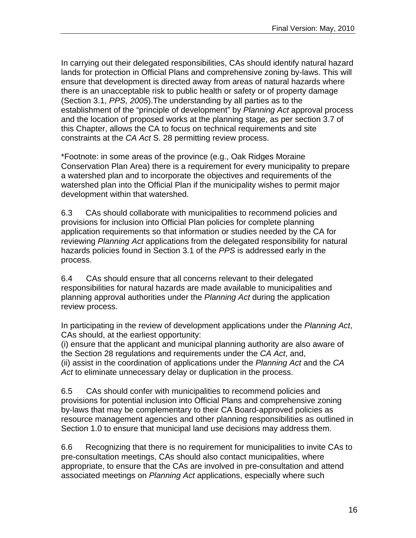In carrying out their delegated responsibilities, CAs should identify natural hazard lands for protection in Official Plans and comprehensive zoning by-laws. This will ensure that development is directed away from areas of natural hazards where there is an unacceptable risk to public health or safety or of property damage (Section 3.1, *PPS, 2005*).The understanding by all parties as to the establishment of the "principle of development" by *Planning Act* approval process and the location of proposed works at the planning stage, as per section 3.7 of this Chapter, allows the CA to focus on technical requirements and site constraints at the *CA Act* S. 28 permitting review process.

\*Footnote: in some areas of the province (e.g., Oak Ridges Moraine Conservation Plan Area) there is a requirement for every municipality to prepare a watershed plan and to incorporate the objectives and requirements of the watershed plan into the Official Plan if the municipality wishes to permit major development within that watershed.

6.3 CAs should collaborate with municipalities to recommend policies and provisions for inclusion into Official Plan policies for complete planning application requirements so that information or studies needed by the CA for reviewing *Planning Act* applications from the delegated responsibility for natural hazards policies found in Section 3.1 of the *PPS* is addressed early in the process.

6.4 CAs should ensure that all concerns relevant to their delegated responsibilities for natural hazards are made available to municipalities and planning approval authorities under the *Planning Act* during the application review process.

In participating in the review of development applications under the *Planning Act*, CAs should, at the earliest opportunity:

(i) ensure that the applicant and municipal planning authority are also aware of the Section 28 regulations and requirements under the *CA Act*, and, (ii) assist in the coordination of applications under the *Planning Act* and the *CA Act* to eliminate unnecessary delay or duplication in the process.

6.5 CAs should confer with municipalities to recommend policies and provisions for potential inclusion into Official Plans and comprehensive zoning by-laws that may be complementary to their CA Board-approved policies as resource management agencies and other planning responsibilities as outlined in Section 1.0 to ensure that municipal land use decisions may address them.

6.6 Recognizing that there is no requirement for municipalities to invite CAs to pre-consultation meetings, CAs should also contact municipalities, where appropriate, to ensure that the CAs are involved in pre-consultation and attend associated meetings on *Planning Act* applications, especially where such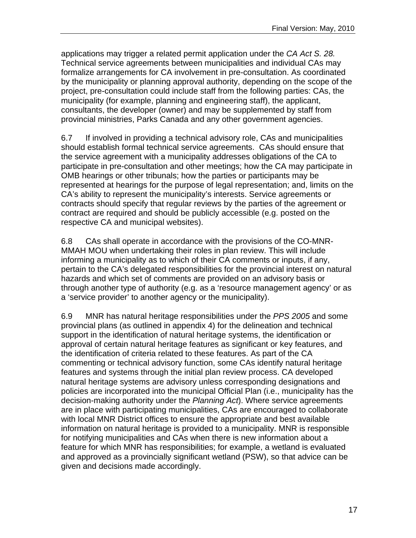applications may trigger a related permit application under the *CA Act S. 28.* Technical service agreements between municipalities and individual CAs may formalize arrangements for CA involvement in pre-consultation. As coordinated by the municipality or planning approval authority, depending on the scope of the project, pre-consultation could include staff from the following parties: CAs, the municipality (for example, planning and engineering staff), the applicant, consultants, the developer (owner) and may be supplemented by staff from provincial ministries, Parks Canada and any other government agencies.

6.7 If involved in providing a technical advisory role, CAs and municipalities should establish formal technical service agreements. CAs should ensure that the service agreement with a municipality addresses obligations of the CA to participate in pre-consultation and other meetings; how the CA may participate in OMB hearings or other tribunals; how the parties or participants may be represented at hearings for the purpose of legal representation; and, limits on the CA's ability to represent the municipality's interests. Service agreements or contracts should specify that regular reviews by the parties of the agreement or contract are required and should be publicly accessible (e.g. posted on the respective CA and municipal websites).

6.8 CAs shall operate in accordance with the provisions of the CO-MNR-MMAH MOU when undertaking their roles in plan review. This will include informing a municipality as to which of their CA comments or inputs, if any, pertain to the CA's delegated responsibilities for the provincial interest on natural hazards and which set of comments are provided on an advisory basis or through another type of authority (e.g. as a 'resource management agency' or as a 'service provider' to another agency or the municipality).

6.9 MNR has natural heritage responsibilities under the *PPS 2005* and some provincial plans (as outlined in appendix 4) for the delineation and technical support in the identification of natural heritage systems, the identification or approval of certain natural heritage features as significant or key features, and the identification of criteria related to these features. As part of the CA commenting or technical advisory function, some CAs identify natural heritage features and systems through the initial plan review process. CA developed natural heritage systems are advisory unless corresponding designations and policies are incorporated into the municipal Official Plan (i.e., municipality has the decision-making authority under the *Planning Act*). Where service agreements are in place with participating municipalities, CAs are encouraged to collaborate with local MNR District offices to ensure the appropriate and best available information on natural heritage is provided to a municipality. MNR is responsible for notifying municipalities and CAs when there is new information about a feature for which MNR has responsibilities; for example, a wetland is evaluated and approved as a provincially significant wetland (PSW), so that advice can be given and decisions made accordingly.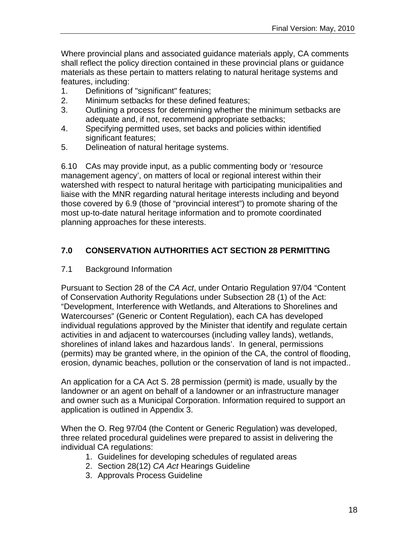Where provincial plans and associated guidance materials apply, CA comments shall reflect the policy direction contained in these provincial plans or guidance materials as these pertain to matters relating to natural heritage systems and features, including:

- 1. Definitions of "significant" features;
- 2. Minimum setbacks for these defined features;
- 3. Outlining a process for determining whether the minimum setbacks are adequate and, if not, recommend appropriate setbacks;
- 4. Specifying permitted uses, set backs and policies within identified significant features;
- 5. Delineation of natural heritage systems.

6.10 CAs may provide input, as a public commenting body or 'resource management agency', on matters of local or regional interest within their watershed with respect to natural heritage with participating municipalities and liaise with the MNR regarding natural heritage interests including and beyond those covered by 6.9 (those of "provincial interest") to promote sharing of the most up-to-date natural heritage information and to promote coordinated planning approaches for these interests.

## **7.0 CONSERVATION AUTHORITIES ACT SECTION 28 PERMITTING**

7.1 Background Information

Pursuant to Section 28 of the *CA Act*, under Ontario Regulation 97/04 "Content of Conservation Authority Regulations under Subsection 28 (1) of the Act: "Development, Interference with Wetlands, and Alterations to Shorelines and Watercourses" (Generic or Content Regulation), each CA has developed individual regulations approved by the Minister that identify and regulate certain activities in and adjacent to watercourses (including valley lands), wetlands, shorelines of inland lakes and hazardous lands'. In general, permissions (permits) may be granted where, in the opinion of the CA, the control of flooding, erosion, dynamic beaches, pollution or the conservation of land is not impacted..

An application for a CA Act S. 28 permission (permit) is made, usually by the landowner or an agent on behalf of a landowner or an infrastructure manager and owner such as a Municipal Corporation. Information required to support an application is outlined in Appendix 3.

When the O. Reg 97/04 (the Content or Generic Regulation) was developed, three related procedural guidelines were prepared to assist in delivering the individual CA regulations:

- 1. Guidelines for developing schedules of regulated areas
- 2. Section 28(12) *CA Act* Hearings Guideline
- 3. Approvals Process Guideline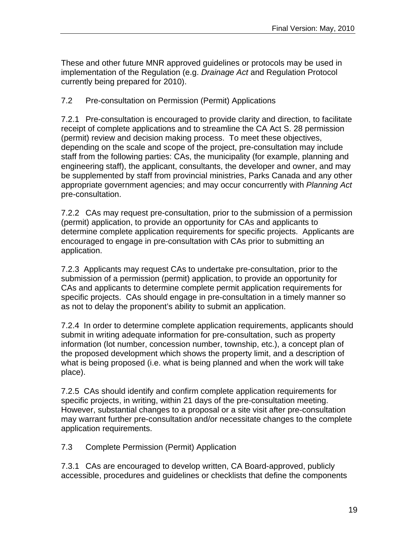These and other future MNR approved guidelines or protocols may be used in implementation of the Regulation (e.g. *Drainage Act* and Regulation Protocol currently being prepared for 2010).

7.2 Pre-consultation on Permission (Permit) Applications

7.2.1 Pre-consultation is encouraged to provide clarity and direction, to facilitate receipt of complete applications and to streamline the CA Act S. 28 permission (permit) review and decision making process. To meet these objectives, depending on the scale and scope of the project, pre-consultation may include staff from the following parties: CAs, the municipality (for example, planning and engineering staff), the applicant, consultants, the developer and owner, and may be supplemented by staff from provincial ministries, Parks Canada and any other appropriate government agencies; and may occur concurrently with *Planning Act* pre-consultation.

7.2.2 CAs may request pre-consultation, prior to the submission of a permission (permit) application, to provide an opportunity for CAs and applicants to determine complete application requirements for specific projects. Applicants are encouraged to engage in pre-consultation with CAs prior to submitting an application.

7.2.3 Applicants may request CAs to undertake pre-consultation, prior to the submission of a permission (permit) application, to provide an opportunity for CAs and applicants to determine complete permit application requirements for specific projects. CAs should engage in pre-consultation in a timely manner so as not to delay the proponent's ability to submit an application.

7.2.4 In order to determine complete application requirements, applicants should submit in writing adequate information for pre-consultation, such as property information (lot number, concession number, township, etc.), a concept plan of the proposed development which shows the property limit, and a description of what is being proposed (i.e. what is being planned and when the work will take place).

7.2.5 CAs should identify and confirm complete application requirements for specific projects, in writing, within 21 days of the pre-consultation meeting. However, substantial changes to a proposal or a site visit after pre-consultation may warrant further pre-consultation and/or necessitate changes to the complete application requirements.

7.3 Complete Permission (Permit) Application

7.3.1 CAs are encouraged to develop written, CA Board-approved, publicly accessible, procedures and guidelines or checklists that define the components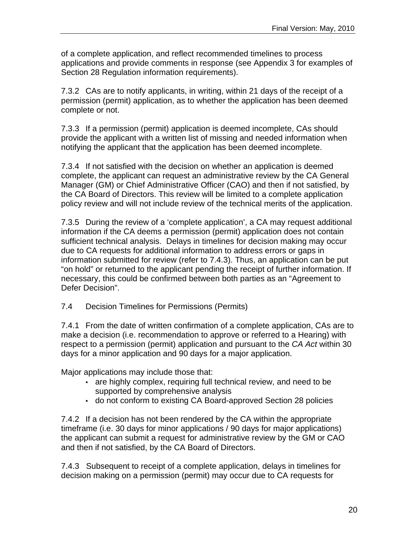of a complete application, and reflect recommended timelines to process applications and provide comments in response (see Appendix 3 for examples of Section 28 Regulation information requirements).

7.3.2 CAs are to notify applicants, in writing, within 21 days of the receipt of a permission (permit) application, as to whether the application has been deemed complete or not.

7.3.3 If a permission (permit) application is deemed incomplete, CAs should provide the applicant with a written list of missing and needed information when notifying the applicant that the application has been deemed incomplete.

7.3.4 If not satisfied with the decision on whether an application is deemed complete, the applicant can request an administrative review by the CA General Manager (GM) or Chief Administrative Officer (CAO) and then if not satisfied, by the CA Board of Directors. This review will be limited to a complete application policy review and will not include review of the technical merits of the application.

7.3.5 During the review of a 'complete application', a CA may request additional information if the CA deems a permission (permit) application does not contain sufficient technical analysis. Delays in timelines for decision making may occur due to CA requests for additional information to address errors or gaps in information submitted for review (refer to 7.4.3). Thus, an application can be put "on hold" or returned to the applicant pending the receipt of further information. If necessary, this could be confirmed between both parties as an "Agreement to Defer Decision".

## 7.4 Decision Timelines for Permissions (Permits)

7.4.1 From the date of written confirmation of a complete application, CAs are to make a decision (i.e. recommendation to approve or referred to a Hearing) with respect to a permission (permit) application and pursuant to the *CA Act* within 30 days for a minor application and 90 days for a major application.

Major applications may include those that:

- are highly complex, requiring full technical review, and need to be supported by comprehensive analysis
- do not conform to existing CA Board-approved Section 28 policies

7.4.2 If a decision has not been rendered by the CA within the appropriate timeframe (i.e. 30 days for minor applications / 90 days for major applications) the applicant can submit a request for administrative review by the GM or CAO and then if not satisfied, by the CA Board of Directors.

7.4.3 Subsequent to receipt of a complete application, delays in timelines for decision making on a permission (permit) may occur due to CA requests for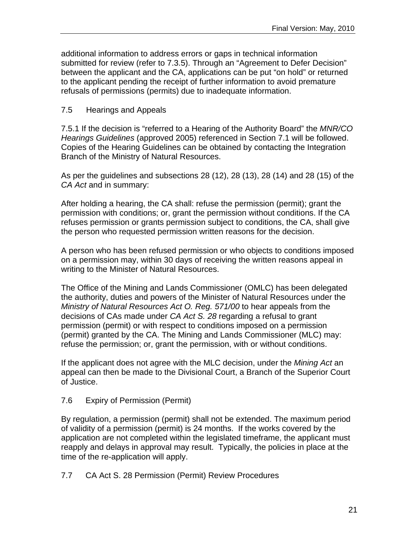additional information to address errors or gaps in technical information submitted for review (refer to 7.3.5). Through an "Agreement to Defer Decision" between the applicant and the CA, applications can be put "on hold" or returned to the applicant pending the receipt of further information to avoid premature refusals of permissions (permits) due to inadequate information.

## 7.5 Hearings and Appeals

7.5.1 If the decision is "referred to a Hearing of the Authority Board" the *MNR/CO Hearings Guidelines* (approved 2005) referenced in Section 7.1 will be followed. Copies of the Hearing Guidelines can be obtained by contacting the Integration Branch of the Ministry of Natural Resources.

As per the guidelines and subsections 28 (12), 28 (13), 28 (14) and 28 (15) of the *CA Act* and in summary:

After holding a hearing, the CA shall: refuse the permission (permit); grant the permission with conditions; or, grant the permission without conditions. If the CA refuses permission or grants permission subject to conditions, the CA, shall give the person who requested permission written reasons for the decision.

A person who has been refused permission or who objects to conditions imposed on a permission may, within 30 days of receiving the written reasons appeal in writing to the Minister of Natural Resources.

The Office of the Mining and Lands Commissioner (OMLC) has been delegated the authority, duties and powers of the Minister of Natural Resources under the *Ministry of Natural Resources Act O. Reg. 571/00* to hear appeals from the decisions of CAs made under *CA Act S. 28* regarding a refusal to grant permission (permit) or with respect to conditions imposed on a permission (permit) granted by the CA. The Mining and Lands Commissioner (MLC) may: refuse the permission; or, grant the permission, with or without conditions.

If the applicant does not agree with the MLC decision, under the *Mining Act* an appeal can then be made to the Divisional Court, a Branch of the Superior Court of Justice.

## 7.6 Expiry of Permission (Permit)

By regulation, a permission (permit) shall not be extended. The maximum period of validity of a permission (permit) is 24 months. If the works covered by the application are not completed within the legislated timeframe, the applicant must reapply and delays in approval may result. Typically, the policies in place at the time of the re-application will apply.

7.7 CA Act S. 28 Permission (Permit) Review Procedures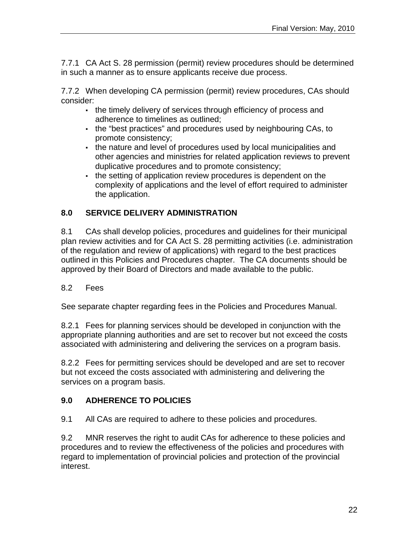7.7.1 CA Act S. 28 permission (permit) review procedures should be determined in such a manner as to ensure applicants receive due process.

7.7.2 When developing CA permission (permit) review procedures, CAs should consider:

- the timely delivery of services through efficiency of process and adherence to timelines as outlined;
- the "best practices" and procedures used by neighbouring CAs, to promote consistency;
- the nature and level of procedures used by local municipalities and other agencies and ministries for related application reviews to prevent duplicative procedures and to promote consistency;
- . the setting of application review procedures is dependent on the complexity of applications and the level of effort required to administer the application.

# **8.0 SERVICE DELIVERY ADMINISTRATION**

8.1 CAs shall develop policies, procedures and guidelines for their municipal plan review activities and for CA Act S. 28 permitting activities (i.e. administration of the regulation and review of applications) with regard to the best practices outlined in this Policies and Procedures chapter. The CA documents should be approved by their Board of Directors and made available to the public.

## 8.2 Fees

See separate chapter regarding fees in the Policies and Procedures Manual.

8.2.1 Fees for planning services should be developed in conjunction with the appropriate planning authorities and are set to recover but not exceed the costs associated with administering and delivering the services on a program basis.

8.2.2 Fees for permitting services should be developed and are set to recover but not exceed the costs associated with administering and delivering the services on a program basis.

# **9.0 ADHERENCE TO POLICIES**

9.1 All CAs are required to adhere to these policies and procedures.

9.2 MNR reserves the right to audit CAs for adherence to these policies and procedures and to review the effectiveness of the policies and procedures with regard to implementation of provincial policies and protection of the provincial interest.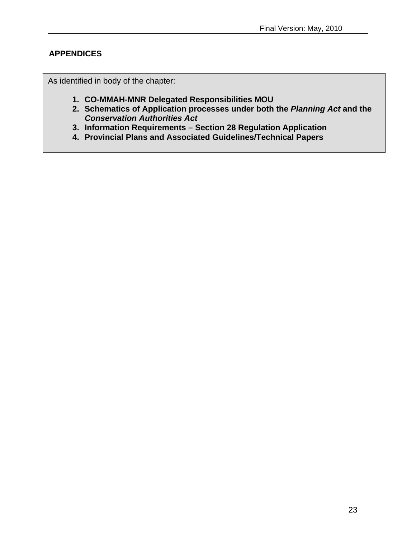## **APPENDICES**

As identified in body of the chapter:

- **1. CO-MMAH-MNR Delegated Responsibilities MOU**
- **2. Schematics of Application processes under both the** *Planning Act* **and the**  *Conservation Authorities Act*
- **3. Information Requirements Section 28 Regulation Application**
- **4. Provincial Plans and Associated Guidelines/Technical Papers**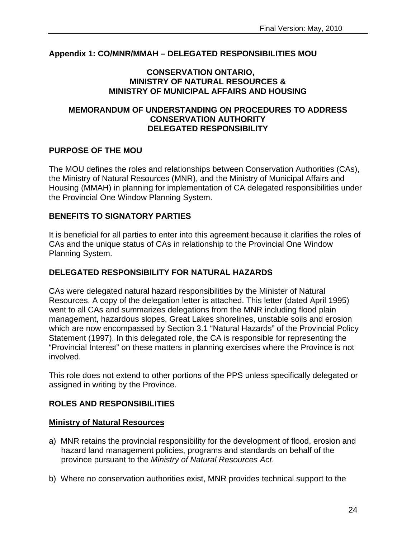#### **Appendix 1: CO/MNR/MMAH – DELEGATED RESPONSIBILITIES MOU**

#### **CONSERVATION ONTARIO, MINISTRY OF NATURAL RESOURCES & MINISTRY OF MUNICIPAL AFFAIRS AND HOUSING**

#### **MEMORANDUM OF UNDERSTANDING ON PROCEDURES TO ADDRESS CONSERVATION AUTHORITY DELEGATED RESPONSIBILITY**

#### **PURPOSE OF THE MOU**

The MOU defines the roles and relationships between Conservation Authorities (CAs), the Ministry of Natural Resources (MNR), and the Ministry of Municipal Affairs and Housing (MMAH) in planning for implementation of CA delegated responsibilities under the Provincial One Window Planning System.

#### **BENEFITS TO SIGNATORY PARTIES**

It is beneficial for all parties to enter into this agreement because it clarifies the roles of CAs and the unique status of CAs in relationship to the Provincial One Window Planning System.

#### **DELEGATED RESPONSIBILITY FOR NATURAL HAZARDS**

CAs were delegated natural hazard responsibilities by the Minister of Natural Resources. A copy of the delegation letter is attached. This letter (dated April 1995) went to all CAs and summarizes delegations from the MNR including flood plain management, hazardous slopes, Great Lakes shorelines, unstable soils and erosion which are now encompassed by Section 3.1 "Natural Hazards" of the Provincial Policy Statement (1997). In this delegated role, the CA is responsible for representing the "Provincial Interest" on these matters in planning exercises where the Province is not involved.

This role does not extend to other portions of the PPS unless specifically delegated or assigned in writing by the Province.

#### **ROLES AND RESPONSIBILITIES**

#### **Ministry of Natural Resources**

- a) MNR retains the provincial responsibility for the development of flood, erosion and hazard land management policies, programs and standards on behalf of the province pursuant to the *Ministry of Natural Resources Act*.
- b) Where no conservation authorities exist, MNR provides technical support to the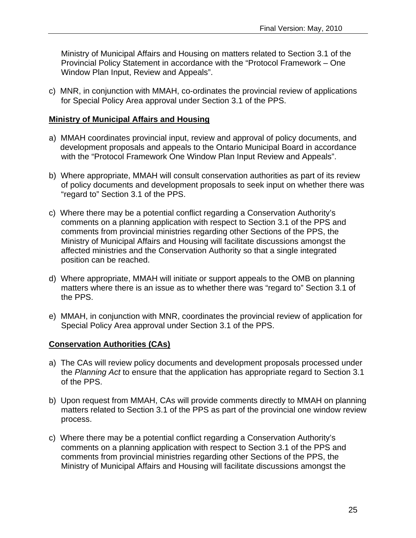Ministry of Municipal Affairs and Housing on matters related to Section 3.1 of the Provincial Policy Statement in accordance with the "Protocol Framework – One Window Plan Input, Review and Appeals".

c) MNR, in conjunction with MMAH, co-ordinates the provincial review of applications for Special Policy Area approval under Section 3.1 of the PPS.

#### **Ministry of Municipal Affairs and Housing**

- a) MMAH coordinates provincial input, review and approval of policy documents, and development proposals and appeals to the Ontario Municipal Board in accordance with the "Protocol Framework One Window Plan Input Review and Appeals".
- b) Where appropriate, MMAH will consult conservation authorities as part of its review of policy documents and development proposals to seek input on whether there was "regard to" Section 3.1 of the PPS.
- c) Where there may be a potential conflict regarding a Conservation Authority's comments on a planning application with respect to Section 3.1 of the PPS and comments from provincial ministries regarding other Sections of the PPS, the Ministry of Municipal Affairs and Housing will facilitate discussions amongst the affected ministries and the Conservation Authority so that a single integrated position can be reached.
- d) Where appropriate, MMAH will initiate or support appeals to the OMB on planning matters where there is an issue as to whether there was "regard to" Section 3.1 of the PPS.
- e) MMAH, in conjunction with MNR, coordinates the provincial review of application for Special Policy Area approval under Section 3.1 of the PPS.

#### **Conservation Authorities (CAs)**

- a) The CAs will review policy documents and development proposals processed under the *Planning Act* to ensure that the application has appropriate regard to Section 3.1 of the PPS.
- b) Upon request from MMAH, CAs will provide comments directly to MMAH on planning matters related to Section 3.1 of the PPS as part of the provincial one window review process.
- c) Where there may be a potential conflict regarding a Conservation Authority's comments on a planning application with respect to Section 3.1 of the PPS and comments from provincial ministries regarding other Sections of the PPS, the Ministry of Municipal Affairs and Housing will facilitate discussions amongst the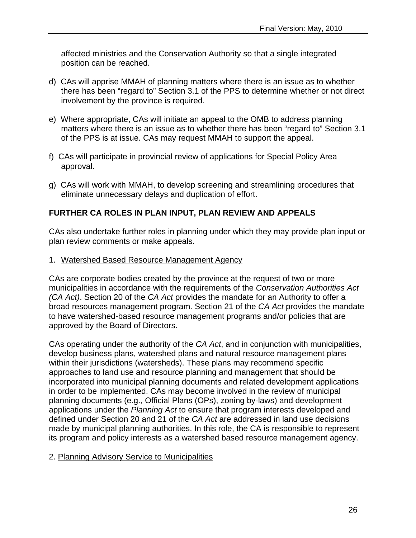affected ministries and the Conservation Authority so that a single integrated position can be reached.

- d) CAs will apprise MMAH of planning matters where there is an issue as to whether there has been "regard to" Section 3.1 of the PPS to determine whether or not direct involvement by the province is required.
- e) Where appropriate, CAs will initiate an appeal to the OMB to address planning matters where there is an issue as to whether there has been "regard to" Section 3.1 of the PPS is at issue. CAs may request MMAH to support the appeal.
- f) CAs will participate in provincial review of applications for Special Policy Area approval.
- g) CAs will work with MMAH, to develop screening and streamlining procedures that eliminate unnecessary delays and duplication of effort.

## **FURTHER CA ROLES IN PLAN INPUT, PLAN REVIEW AND APPEALS**

CAs also undertake further roles in planning under which they may provide plan input or plan review comments or make appeals.

1. Watershed Based Resource Management Agency

CAs are corporate bodies created by the province at the request of two or more municipalities in accordance with the requirements of the *Conservation Authorities Act (CA Act)*. Section 20 of the *CA Act* provides the mandate for an Authority to offer a broad resources management program. Section 21 of the *CA Act* provides the mandate to have watershed-based resource management programs and/or policies that are approved by the Board of Directors.

CAs operating under the authority of the *CA Act*, and in conjunction with municipalities, develop business plans, watershed plans and natural resource management plans within their jurisdictions (watersheds). These plans may recommend specific approaches to land use and resource planning and management that should be incorporated into municipal planning documents and related development applications in order to be implemented. CAs may become involved in the review of municipal planning documents (e.g., Official Plans (OPs), zoning by-laws) and development applications under the *Planning Act* to ensure that program interests developed and defined under Section 20 and 21 of the *CA Act* are addressed in land use decisions made by municipal planning authorities. In this role, the CA is responsible to represent its program and policy interests as a watershed based resource management agency.

## 2. Planning Advisory Service to Municipalities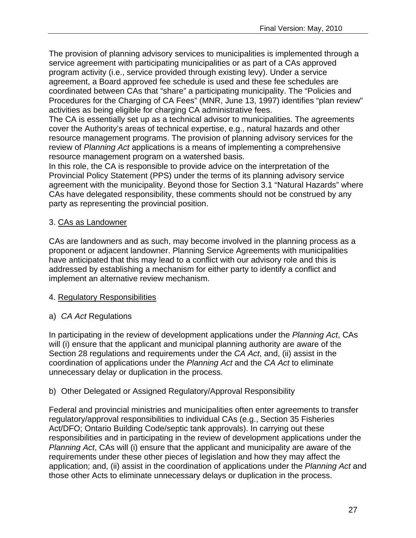The provision of planning advisory services to municipalities is implemented through a service agreement with participating municipalities or as part of a CAs approved program activity (i.e., service provided through existing levy). Under a service agreement, a Board approved fee schedule is used and these fee schedules are coordinated between CAs that "share" a participating municipality. The "Policies and Procedures for the Charging of CA Fees" (MNR, June 13, 1997) identifies "plan review" activities as being eligible for charging CA administrative fees.

The CA is essentially set up as a technical advisor to municipalities. The agreements cover the Authority's areas of technical expertise, e.g., natural hazards and other resource management programs. The provision of planning advisory services for the review of *Planning Act* applications is a means of implementing a comprehensive resource management program on a watershed basis.

In this role, the CA is responsible to provide advice on the interpretation of the Provincial Policy Statement (PPS) under the terms of its planning advisory service agreement with the municipality. Beyond those for Section 3.1 "Natural Hazards" where CAs have delegated responsibility, these comments should not be construed by any party as representing the provincial position.

## 3. CAs as Landowner

CAs are landowners and as such, may become involved in the planning process as a proponent or adjacent landowner. Planning Service Agreements with municipalities have anticipated that this may lead to a conflict with our advisory role and this is addressed by establishing a mechanism for either party to identify a conflict and implement an alternative review mechanism.

## 4. Regulatory Responsibilities

## a) *CA Act* Regulations

In participating in the review of development applications under the *Planning Act*, CAs will (i) ensure that the applicant and municipal planning authority are aware of the Section 28 regulations and requirements under the *CA Act*, and, (ii) assist in the coordination of applications under the *Planning Act* and the *CA Act* to eliminate unnecessary delay or duplication in the process.

## b) Other Delegated or Assigned Regulatory/Approval Responsibility

Federal and provincial ministries and municipalities often enter agreements to transfer regulatory/approval responsibilities to individual CAs (e.g., Section 35 Fisheries Act/DFO; Ontario Building Code/septic tank approvals). In carrying out these responsibilities and in participating in the review of development applications under the *Planning Act*, CAs will (i) ensure that the applicant and municipality are aware of the requirements under these other pieces of legislation and how they may affect the application; and, (ii) assist in the coordination of applications under the *Planning Act* and those other Acts to eliminate unnecessary delays or duplication in the process.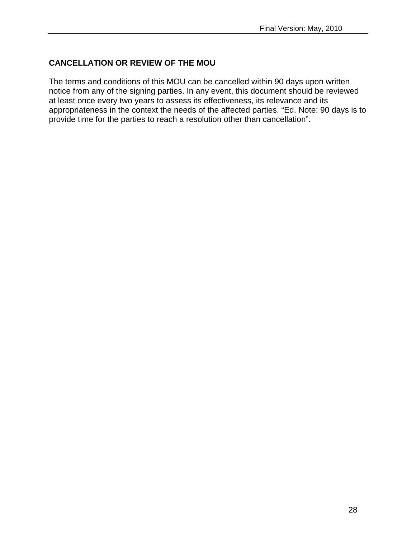## **CANCELLATION OR REVIEW OF THE MOU**

The terms and conditions of this MOU can be cancelled within 90 days upon written notice from any of the signing parties. In any event, this document should be reviewed at least once every two years to assess its effectiveness, its relevance and its appropriateness in the context the needs of the affected parties. "Ed. Note: 90 days is to provide time for the parties to reach a resolution other than cancellation".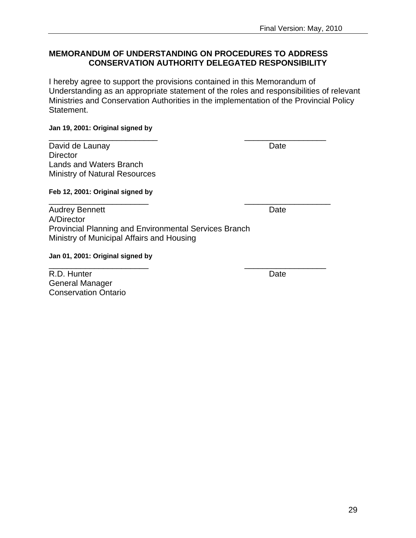#### **MEMORANDUM OF UNDERSTANDING ON PROCEDURES TO ADDRESS CONSERVATION AUTHORITY DELEGATED RESPONSIBILITY**

\_\_\_\_\_\_\_\_\_\_\_\_\_\_\_\_\_\_\_\_\_\_\_\_ \_\_\_\_\_\_\_\_\_\_\_\_\_\_\_\_\_\_

\_\_\_\_\_\_\_\_\_\_\_\_\_\_\_\_\_\_\_\_\_\_ \_\_\_\_\_\_\_\_\_\_\_\_\_\_\_\_\_\_\_

\_\_\_\_\_\_\_\_\_\_\_\_\_\_\_\_\_\_\_\_\_\_ \_\_\_\_\_\_\_\_\_\_\_\_\_\_\_\_\_\_

I hereby agree to support the provisions contained in this Memorandum of Understanding as an appropriate statement of the roles and responsibilities of relevant Ministries and Conservation Authorities in the implementation of the Provincial Policy Statement.

#### **Jan 19, 2001: Original signed by**

David de Launay Date **Director** Lands and Waters Branch Ministry of Natural Resources

#### **Feb 12, 2001: Original signed by**

Audrey Bennett **Date** A/Director Provincial Planning and Environmental Services Branch Ministry of Municipal Affairs and Housing

#### **Jan 01, 2001: Original signed by**

R.D. Hunter Date General Manager Conservation Ontario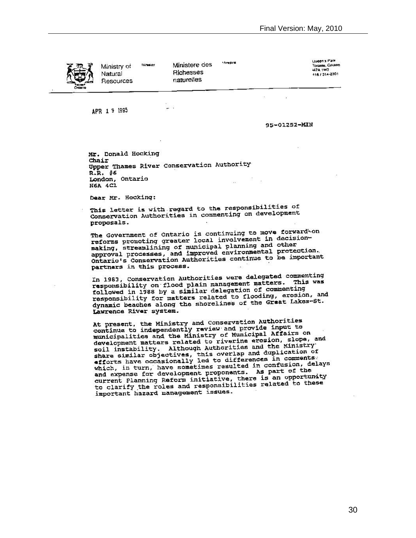

**Minuster** Ministry of Natural Resources

Ministere des **Richesses** naturelles

**Ministre** 

Uueen's Park Toromo, Ontarro **UZA 1977** 416 / 314-2301

APR 1 9 1995

95-01252-MIN

X.

Mr. Donald Hocking Chair Upper Thames River Conservation Authority R.R. #6 London, Ontario a. **N6A 4C1** 

g.

Dear Mr. Hocking:

This letter is with regard to the responsibilities of Conservation Authorities in commenting on development proposals.

The Government of Ontario is continuing to move forward-on The Government or Ontario is continuing of in decision-<br>reforms promoting greater local involvement in decisionreforms promoting greater local involvement and other<br>making, streamlining of municipal planning and other<br>approval processes, and improved environmental protection. approval processes, and improved environmentary for important partners in this process.

In 1983, Conservation Authorities were delegated commenting In 1983, Conservation Authorities were designers. This was<br>responsibility on flood plain management matters. This was responsibility on ricod plain management as commenting<br>followed in 1988 by a simil or delegation of commenting followed in 1988 by a similar detegation of the gression, and<br>responsibility for matters related to flooding, erosion, and responsibility for matters related to flooding, the Lakes-St.<br>dynamic beaches along the shorelines of the Great Lakes-St. Lawrence River system.

At present, the Ministry and Conservation Authorities<br>continue to independently review and provide input to<br>municipalities and the Ministry of Municipal Affairs on<br>municipalities and the Ministry of Municipal Affairs on municipalities and the Ministry of Municipal Annual Head development matters related to riverine erosion, Slope, and<br>soil instability. Although Authorities and the Ministry<br>soil instability. Although Authorities and duplic soil instability. Although Authorities and duplication of<br>share similar objectives, this overlap and duplication of<br>efforts have occasionally led to differences in comments: efforts have occasionally led to difference in confusion, delays<br>which, in turn, have sometimes resulted in confusion, delays which, in turn, have sometimes resulted in contract of the<br>and expense for development proponants. As part of the and expense for development proponents. As fun opportunity<br>current Planning Reform initiative, there is an opportunity<br>to clarify the roles and responsibilities related to these important hazard management issues.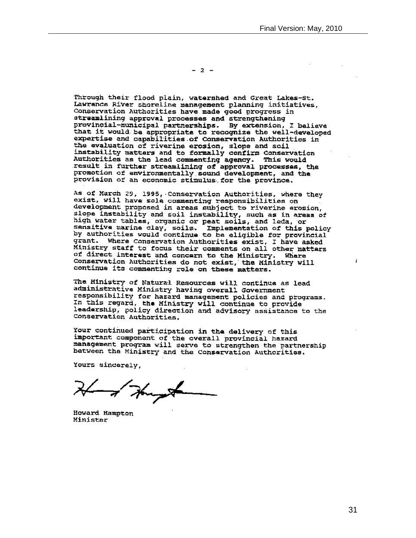$-2$   $-$ 

Through their flood plain, watershed and Great Lakes-St. Lawranca River shoreline management planning initiatives, Conservation Authorities have made good progress in streamlining approval processes and strengthening provincial-municipal partnerships. By extension, I believe that it would be appropriate to recognize the well-developed expertise and capabilities of Conservation Authorities in the evaluation of riverine erosion, slope and soil instability matters and to formally confirm Conservation Authorities as the lead commenting agency. This would result in further streamlining of approval processes, the promotion of environmentally sound development, and the provision of an economic stimulus for the province.

As of March 29, 1995, Conservation Authorities, where they exist, will have sole commenting responsibilities on development proposed in areas subject to riverine erosion, slope instability and soil instability, such as in areas of high water tables, organic or peat soils, and leda, or sensitive marine clay, soils. Implementation of this policy<br>by authorities would continue to be eligible for provincial grant. Where Conservation Authorities exist, I have asked Ministry staff to focus their comments on all other matters of direct interest and concern to the Ministry. Where Conservation Authorities do not exist, the Ministry will continue its commenting role on these matters.

The Ministry of Natural Resources will continue as lead administrative Ministry having overall Government responsibility for hazard management policies and programs. In this regard, the Ministry will continue to provide leadership, policy direction and advisory assistance to the Conservation Authorities.

Your continued participation in the delivery of this important component of the overall provincial hazard management program will serve to strengthen the partnership between the Ministry and the Conservation Authorities.

Yours sincerely,

- of Hungon

Howard Hampton Minister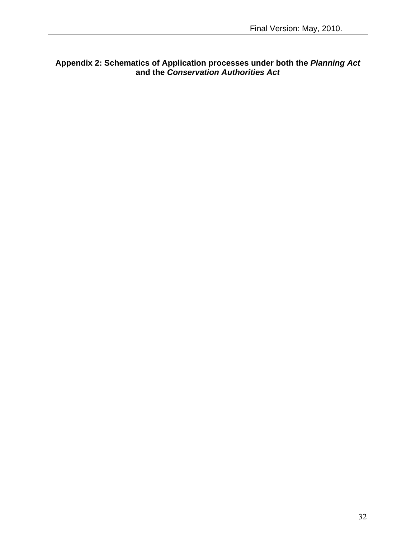#### **Appendix 2: Schematics of Application processes under both the** *Planning Act* **and the** *Conservation Authorities Act*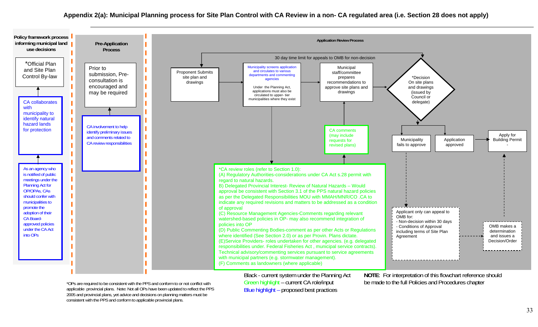

applicable provincial plans. Note: Not all OPs have been updated to reflect the PPS 2005 and provincial plans, yet advice and decisions on planning matters must be consistent with the PPS and conform to applicable provincial plans.

Black - current system under the Planning Act Green highlight – current CA role/input Blue highlight – proposed best practices

**NOTE**: For interpretation of this flowchart reference should \*OPs are required to be consistent with the PPS and conform to or not conflict with **Green highlight** – current CA role/input be made to the full Policies and Procedures chapter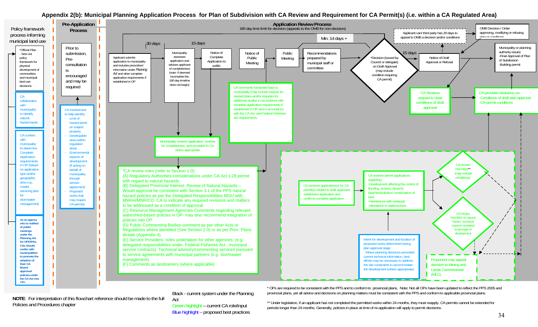#### **Appendix 2(b): Municipal Planning Application Process for Plan of Subdivision with CA Review and Requirement for CA Permit(s) (i.e. within a CA Regulated Area)**



**NOTE**: For interpretation of this flowchart reference should be made to the full Policies and Procedures chapter

Black - current system under the Planning Act

Green highlight – current CA role/input Blue highlight – proposed best practices

\* OPs are required to be consistent with the PPS and to conform to provincial plans. Note: Not all OPs have been updated to reflect the PPS 2005 and provincial plans, yet all advice and decisions on planning matters must be consistent with the PPS and conform to applicable provincial plans.

\*\* Under legislation, if an applicant has not completed the permitted works within 24 months, they must reapply. CA permits cannot be extended for periods longer than 24 months. Generally, policies in place at time of re-application will apply to permit decisions.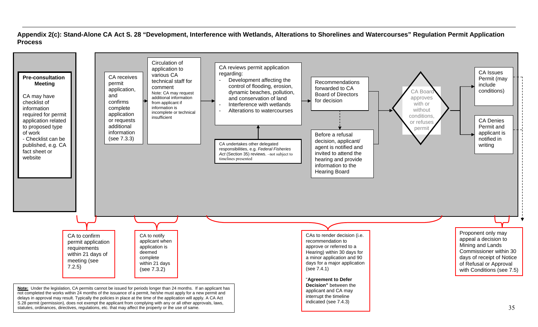**Appendix 2(c): Stand-Alone CA Act S. 28 "Development, Interference with Wetlands, Alterations to Shorelines and Watercourses" Regulation Permit Application Process** 

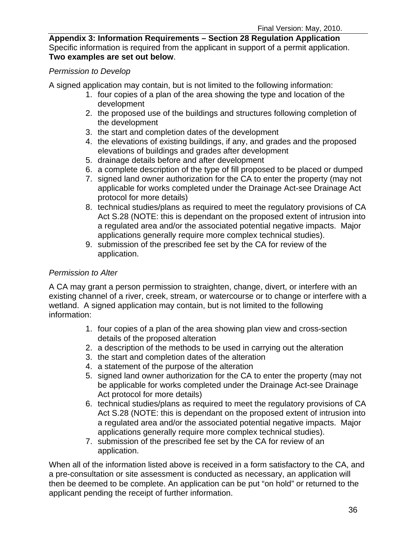**Appendix 3: Information Requirements – Section 28 Regulation Application**  Specific information is required from the applicant in support of a permit application. **Two examples are set out below**.

## *Permission to Develop*

A signed application may contain, but is not limited to the following information:

- 1. four copies of a plan of the area showing the type and location of the development
- 2. the proposed use of the buildings and structures following completion of the development
- 3. the start and completion dates of the development
- 4. the elevations of existing buildings, if any, and grades and the proposed elevations of buildings and grades after development
- 5. drainage details before and after development
- 6. a complete description of the type of fill proposed to be placed or dumped
- 7. signed land owner authorization for the CA to enter the property (may not applicable for works completed under the Drainage Act-see Drainage Act protocol for more details)
- 8. technical studies/plans as required to meet the regulatory provisions of CA Act S.28 (NOTE: this is dependant on the proposed extent of intrusion into a regulated area and/or the associated potential negative impacts. Major applications generally require more complex technical studies).
- 9. submission of the prescribed fee set by the CA for review of the application.

#### *Permission to Alter*

A CA may grant a person permission to straighten, change, divert, or interfere with an existing channel of a river, creek, stream, or watercourse or to change or interfere with a wetland. A signed application may contain, but is not limited to the following information:

- 1. four copies of a plan of the area showing plan view and cross-section details of the proposed alteration
- 2. a description of the methods to be used in carrying out the alteration
- 3. the start and completion dates of the alteration
- 4. a statement of the purpose of the alteration
- 5. signed land owner authorization for the CA to enter the property (may not be applicable for works completed under the Drainage Act-see Drainage Act protocol for more details)
- 6. technical studies/plans as required to meet the regulatory provisions of CA Act S.28 (NOTE: this is dependant on the proposed extent of intrusion into a regulated area and/or the associated potential negative impacts. Major applications generally require more complex technical studies).
- 7. submission of the prescribed fee set by the CA for review of an application.

When all of the information listed above is received in a form satisfactory to the CA, and a pre-consultation or site assessment is conducted as necessary, an application will then be deemed to be complete. An application can be put "on hold" or returned to the applicant pending the receipt of further information.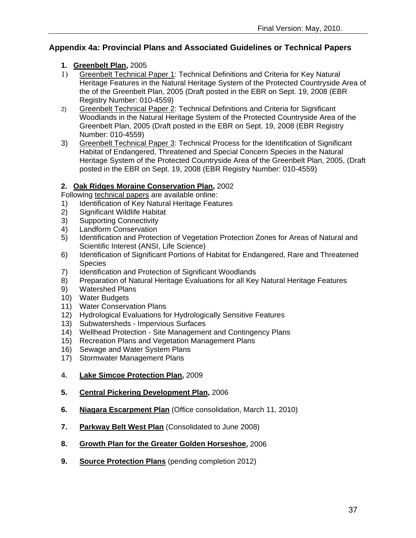## **Appendix 4a: Provincial Plans and Associated Guidelines or Technical Papers**

### **1. [Greenbelt Plan,](http://www.mah.gov.on.ca/Page189.aspx#greenbelt)** 2005

- 1) [Greenbelt Technical Paper 1](http://publicdocs.mnr.gov.on.ca/View.asp?Document_ID=14966&Attachment_ID=31521): Technical Definitions and Criteria for Key Natural Heritage Features in the Natural Heritage System of the Protected Countryside Area of the of the Greenbelt Plan, 2005 (Draft posted in the EBR on Sept. 19, 2008 (EBR Registry Number: 010-4559)
- 2) [Greenbelt Technical Paper 2](http://publicdocs.mnr.gov.on.ca/View.asp?Document_ID=14966&Attachment_ID=31522): Technical Definitions and Criteria for Significant Woodlands in the Natural Heritage System of the Protected Countryside Area of the Greenbelt Plan, 2005 (Draft posted in the EBR on Sept. 19, 2008 (EBR Registry Number: 010-4559)
- 3) [Greenbelt Technical Paper 3](http://publicdocs.mnr.gov.on.ca/View.asp?Document_ID=14966&Attachment_ID=31523): Technical Process for the Identification of Significant Habitat of Endangered, Threatened and Special Concern Species in the Natural Heritage System of the Protected Countryside Area of the Greenbelt Plan, 2005, (Draft posted in the EBR on Sept. 19, 2008 (EBR Registry Number: 010-4559)

## **2. [Oak Ridges Moraine Conservation Plan](http://www.mah.gov.on.ca/Page1707.aspx),** 2002

Following [technical papers](http://www.mah.gov.on.ca/Page4808.aspx) are available online:

- 1) Identification of Key Natural Heritage Features
- 2) Significant Wildlife Habitat
- 3) Supporting Connectivity
- 4) Landform Conservation
- 5) Identification and Protection of Vegetation Protection Zones for Areas of Natural and Scientific Interest (ANSI, Life Science)
- 6) Identification of Significant Portions of Habitat for Endangered, Rare and Threatened **Species**
- 7) Identification and Protection of Significant Woodlands
- 8) Preparation of Natural Heritage Evaluations for all Key Natural Heritage Features
- 9) Watershed Plans
- 10) Water Budgets
- 11) Water Conservation Plans
- 12) Hydrological Evaluations for Hydrologically Sensitive Features
- 13) Subwatersheds Impervious Surfaces
- 14) Wellhead Protection Site Management and Contingency Plans
- 15) Recreation Plans and Vegetation Management Plans
- 16) Sewage and Water System Plans
- 17) Stormwater Management Plans
- **4. [Lake Simcoe Protection Plan,](http://www.ene.gov.on.ca/en/water/lakesimcoe/index.php)** 2009
- **5. [Central Pickering Development Plan,](http://www.mah.gov.on.ca/Page329.aspx)** 2006
- **6. [Niagara Escarpment Plan](http://www.escarpment.org/landplanning/plan/index.php)** (Office consolidation, March 11, 2010)
- **7. [Parkway Belt West Plan](http://www.mah.gov.on.ca/Page5672.aspx)** (Consolidated to June 2008)
- **8. [Growth Plan for the Greater Golden Horseshoe](https://www.placestogrow.ca/index.php?option=com_content&task=view&id=9&Itemid=14),** 2006
- **9. Source Protection Plans** (pending completion 2012)